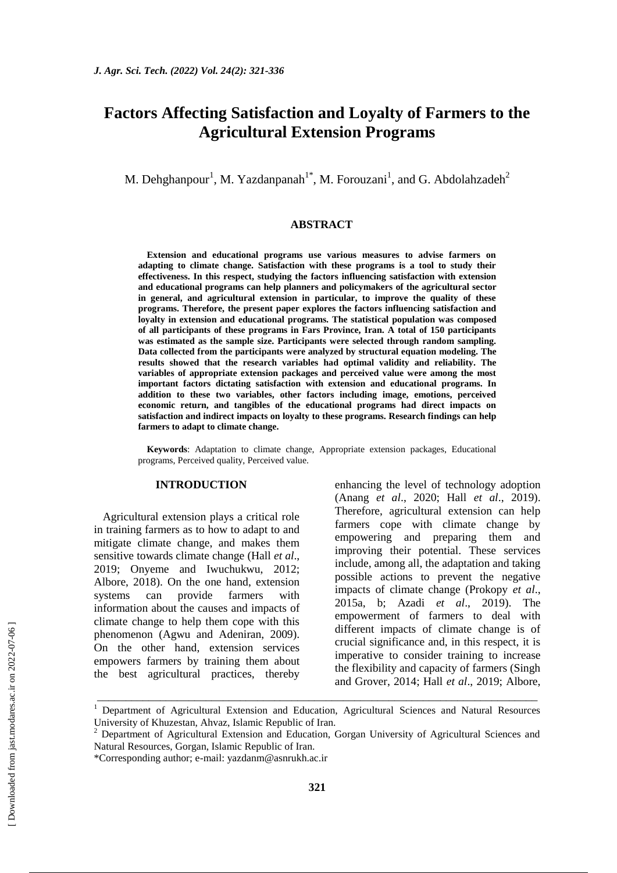# **Factors Affecting Satisfaction and Loyalty of Farmers to the Agricultural Extension Programs**

M. Dehghanpour<sup>1</sup>, M. Yazdanpanah<sup>1\*</sup>, M. Forouzani<sup>1</sup>, and G. Abdolahzadeh<sup>2</sup>

#### **ABSTRACT**

**Extension and educational programs use various measures to advise farmers on adapting to climate change. Satisfaction with these programs is a tool to study their effectiveness. In this respect, studying the factors influencing satisfaction with extension and educational programs can help planners and policymakers of the agricultural sector in general, and agricultural extension in particular, to improve the quality of these programs. Therefore, the present paper explores the factors influencing satisfaction and loyalty in extension and educational programs. The statistical population was composed of all participants of these programs in Fars Province, Iran. A total of 150 participants was estimated as the sample size. Participants were selected through random sampling. Data collected from the participants were analyzed by structural equation modeling. The results showed that the research variables had optimal validity and reliability. The variables of appropriate extension packages and perceived value were among the most important factors dictating satisfaction with extension and educational programs. In addition to these two variables, other factors including image, emotions, perceived economic return, and tangibles of the educational programs had direct impacts on satisfaction and indirect impacts on loyalty to these programs. Research findings can help farmers to adapt to climate change.**

**Keywords**: Adaptation to climate change, Appropriate extension packages, Educational programs, Perceived quality, Perceived value.

#### **INTRODUCTION**

Agricultural extension plays a critical role in training farmers as to how to adapt to and mitigate climate change, and makes them sensitive towards climate change (Hall *et al*., 2019; Onyeme and Iwuchukwu, 2012; Albore, 2018). On the one hand, extension systems can provide farmers with information about the causes and impacts of climate change to help them cope with this phenomenon (Agwu and Adeniran, 2009). On the other hand, extension services empowers farmers by training them about the best agricultural practices, thereby enhancing the level of technology adoption (Anang *et al*., 2020; Hall *et al*., 2019). Therefore, agricultural extension can help farmers cope with climate change by empowering and preparing them and improving their potential. These services include, among all, the adaptation and taking possible actions to prevent the negative impacts of climate change (Prokopy *et al*., 2015a, b; Azadi *et al*., 2019). The empowerment of farmers to deal with different impacts of climate change is of crucial significance and, in this respect, it is imperative to consider training to increase the flexibility and capacity of farmers (Singh and Grover, 2014; Hall *et al*., 2019; Albore,

\_\_\_\_\_\_\_\_\_\_\_\_\_\_\_\_\_\_\_\_\_\_\_\_\_\_\_\_\_\_\_\_\_\_\_\_\_\_\_\_\_\_\_\_\_\_\_\_\_\_\_\_\_\_\_\_\_\_\_\_\_\_\_\_\_\_\_\_\_\_\_\_\_\_\_\_\_

<sup>&</sup>lt;sup>1</sup> Department of Agricultural Extension and Education, Agricultural Sciences and Natural Resources University of Khuzestan, Ahvaz, Islamic Republic of Iran.

<sup>2</sup> Department of Agricultural Extension and Education, Gorgan University of Agricultural Sciences and Natural Resources, Gorgan, Islamic Republic of Iran.

<sup>\*</sup>Corresponding author; e-mail: yazdanm@asnrukh.ac.ir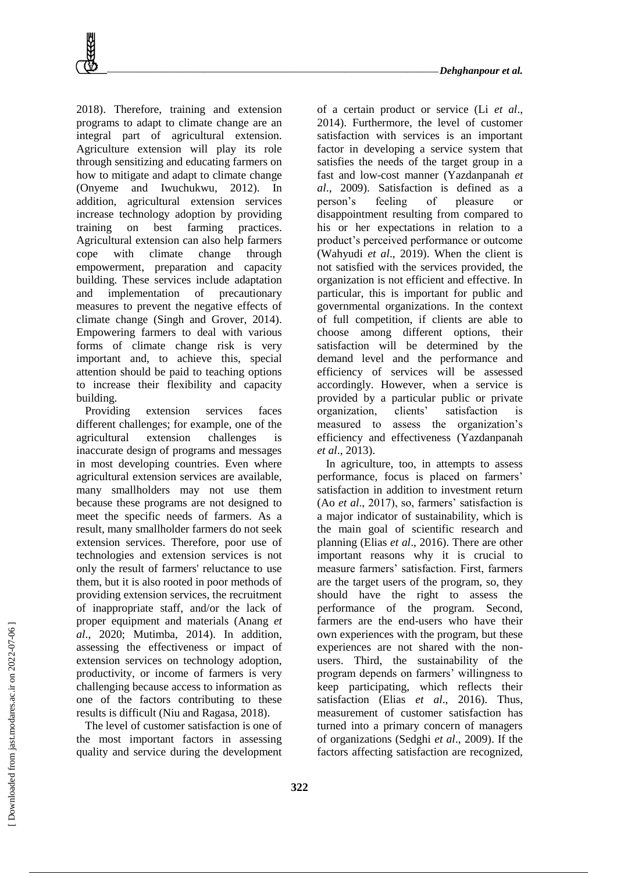2018). Therefore, training and extension programs to adapt to climate change are an integral part of agricultural extension. Agriculture extension will play its role through sensitizing and educating farmers on how to mitigate and adapt to climate change (Onyeme and Iwuchukwu, 2012). In addition, agricultural extension services increase technology adoption by providing training on best farming practices. Agricultural extension can also help farmers cope with climate change through empowerment, preparation and capacity building. These services include adaptation and implementation of precautionary measures to prevent the negative effects of climate change (Singh and Grover, 2014). Empowering farmers to deal with various forms of climate change risk is very important and, to achieve this, special attention should be paid to teaching options to increase their flexibility and capacity building.

Providing extension services faces different challenges; for example, one of the agricultural extension challenges is inaccurate design of programs and messages in most developing countries. Even where agricultural extension services are available, many smallholders may not use them because these programs are not designed to meet the specific needs of farmers. As a result, many smallholder farmers do not seek extension services. Therefore, poor use of technologies and extension services is not only the result of farmers' reluctance to use them, but it is also rooted in poor methods of providing extension services, the recruitment of inappropriate staff, and/or the lack of proper equipment and materials (Anang *et al*., 2020; Mutimba, 2014). In addition, assessing the effectiveness or impact of extension services on technology adoption, productivity, or income of farmers is very challenging because access to information as one of the factors contributing to these results is difficult (Niu and Ragasa, 2018).

The level of customer satisfaction is one of the most important factors in assessing quality and service during the development of a certain product or service (Li *et al*., 2014). Furthermore, the level of customer satisfaction with services is an important factor in developing a service system that satisfies the needs of the target group in a fast and low-cost manner (Yazdanpanah *et al*., 2009). Satisfaction is defined as a person's feeling of pleasure or disappointment resulting from compared to his or her expectations in relation to a product's perceived performance or outcome (Wahyudi *et al*., 2019). When the client is not satisfied with the services provided, the organization is not efficient and effective. In particular, this is important for public and governmental organizations. In the context of full competition, if clients are able to choose among different options, their satisfaction will be determined by the demand level and the performance and efficiency of services will be assessed accordingly. However, when a service is provided by a particular public or private organization, clients' satisfaction is measured to assess the organization's efficiency and effectiveness (Yazdanpanah *et al*., 2013).

In agriculture, too, in attempts to assess performance, focus is placed on farmers' satisfaction in addition to investment return (Ao *et al*., 2017), so, farmers' satisfaction is a major indicator of sustainability, which is the main goal of scientific research and planning (Elias *et al*., 2016). There are other important reasons why it is crucial to measure farmers' satisfaction. First, farmers are the target users of the program, so, they should have the right to assess the performance of the program. Second, farmers are the end-users who have their own experiences with the program, but these experiences are not shared with the nonusers. Third, the sustainability of the program depends on farmers' willingness to keep participating, which reflects their satisfaction (Elias *et al*., 2016). Thus, measurement of customer satisfaction has turned into a primary concern of managers of organizations (Sedghi *et al*., 2009). If the factors affecting satisfaction are recognized,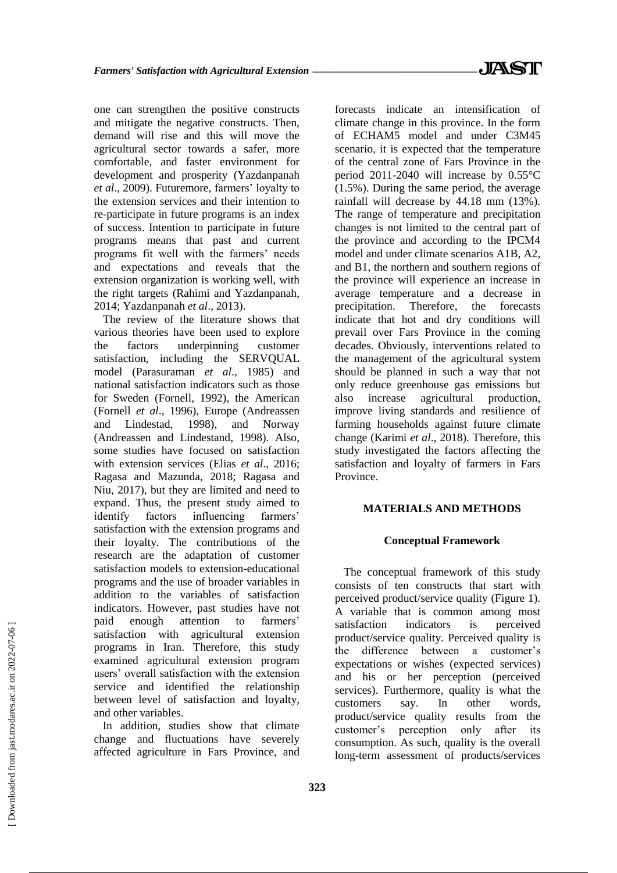one can strengthen the positive constructs and mitigate the negative constructs. Then, demand will rise and this will move the agricultural sector towards a safer, more comfortable, and faster environment for development and prosperity (Yazdanpanah *et al*., 2009). Futuremore, farmers' loyalty to the extension services and their intention to re-participate in future programs is an index of success. Intention to participate in future programs means that past and current programs fit well with the farmers' needs and expectations and reveals that the extension organization is working well, with the right targets (Rahimi and Yazdanpanah, 2014; Yazdanpanah *et al*., 2013).

The review of the literature shows that various theories have been used to explore the factors underpinning customer satisfaction, including the SERVOUAL model (Parasuraman *et al*., 1985) and national satisfaction indicators such as those for Sweden (Fornell, 1992), the American (Fornell *et al*., 1996), Europe (Andreassen and Lindestad, 1998), and Norway (Andreassen and Lindestand, 1998). Also, some studies have focused on satisfaction with extension services (Elias *et al*., 2016; Ragasa and Mazunda, 2018; Ragasa and Niu, 2017), but they are limited and need to expand. Thus, the present study aimed to identify factors influencing farmers' satisfaction with the extension programs and their loyalty. The contributions of the research are the adaptation of customer satisfaction models to extension-educational programs and the use of broader variables in addition to the variables of satisfaction indicators. However, past studies have not paid enough attention to farmers' satisfaction with agricultural extension programs in Iran. Therefore, this study examined agricultural extension program users' overall satisfaction with the extension service and identified the relationship between level of satisfaction and loyalty, and other variables.

In addition, studies show that climate change and fluctuations have severely affected agriculture in Fars Province, and forecasts indicate an intensification of climate change in this province. In the form of ECHAM5 model and under C3M45 scenario, it is expected that the temperature of the central zone of Fars Province in the period 2011-2040 will increase by 0.55°C (1.5%). During the same period, the average rainfall will decrease by 44.18 mm (13%). The range of temperature and precipitation changes is not limited to the central part of the province and according to the IPCM4 model and under climate scenarios A1B, A2, and B1, the northern and southern regions of the province will experience an increase in average temperature and a decrease in precipitation. Therefore, the forecasts indicate that hot and dry conditions will prevail over Fars Province in the coming decades. Obviously, interventions related to the management of the agricultural system should be planned in such a way that not only reduce greenhouse gas emissions but also increase agricultural production, improve living standards and resilience of farming households against future climate change (Karimi *et al*., 2018). Therefore, this study investigated the factors affecting the satisfaction and loyalty of farmers in Fars Province.

### **MATERIALS AND METHODS**

#### **Conceptual Framework**

The conceptual framework of this study consists of ten constructs that start with perceived product/service quality (Figure 1). A variable that is common among most satisfaction indicators is perceived product/service quality. Perceived quality is the difference between a customer's expectations or wishes (expected services) and his or her perception (perceived services). Furthermore, quality is what the customers say. In other words, product/service quality results from the customer's perception only after its consumption. As such, quality is the overall long-term assessment of products/services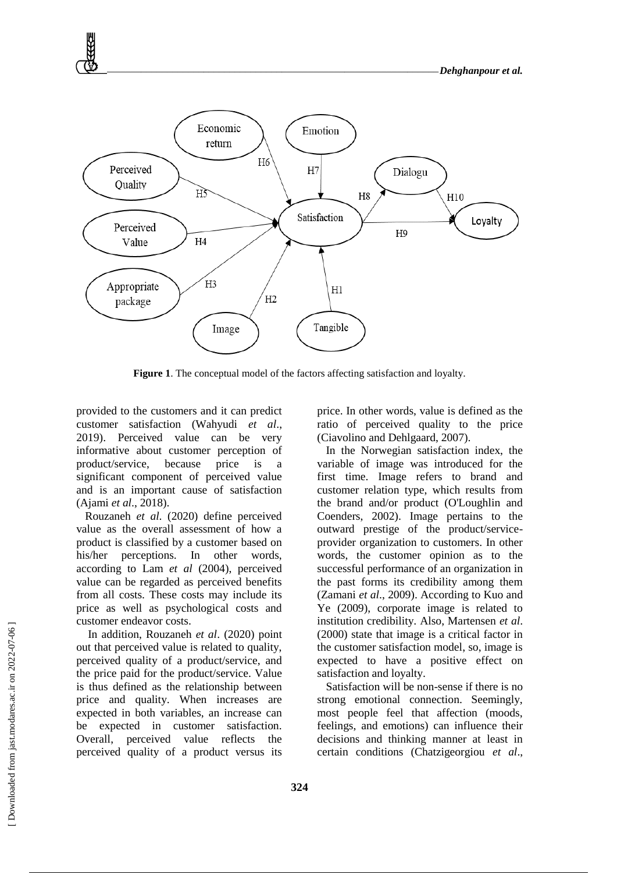

**Figure 1**. The conceptual model of the factors affecting satisfaction and loyalty.

provided to the customers and it can predict customer satisfaction (Wahyudi *et al*., 2019). Perceived value can be very informative about customer perception of product/service, because price is a significant component of perceived value and is an important cause of satisfaction (Ajami *et al*., 2018).

Rouzaneh *et al*. (2020) define perceived value as the overall assessment of how a product is classified by a customer based on his/her perceptions. In other words, according to Lam *et al* (2004), perceived value can be regarded as perceived benefits from all costs. These costs may include its price as well as psychological costs and customer endeavor costs.

In addition, Rouzaneh *et al*. (2020) point out that perceived value is related to quality, perceived quality of a product/service, and the price paid for the product/service. Value is thus defined as the relationship between price and quality. When increases are expected in both variables, an increase can be expected in customer satisfaction. Overall, perceived value reflects the perceived quality of a product versus its

price. In other words, value is defined as the ratio of perceived quality to the price (Ciavolino and Dehlgaard, 2007).

In the Norwegian satisfaction index, the variable of image was introduced for the first time. Image refers to brand and customer relation type, which results from the brand and/or product (O'Loughlin and Coenders, 2002). Image pertains to the outward prestige of the product/serviceprovider organization to customers. In other words, the customer opinion as to the successful performance of an organization in the past forms its credibility among them (Zamani *et al*., 2009). According to Kuo and Ye (2009), corporate image is related to institution credibility. Also, Martensen *et al*. (2000) state that image is a critical factor in the customer satisfaction model, so, image is expected to have a positive effect on satisfaction and loyalty.

Satisfaction will be non-sense if there is no strong emotional connection. Seemingly, most people feel that affection (moods, feelings, and emotions) can influence their decisions and thinking manner at least in certain conditions (Chatzigeorgiou *et al*.,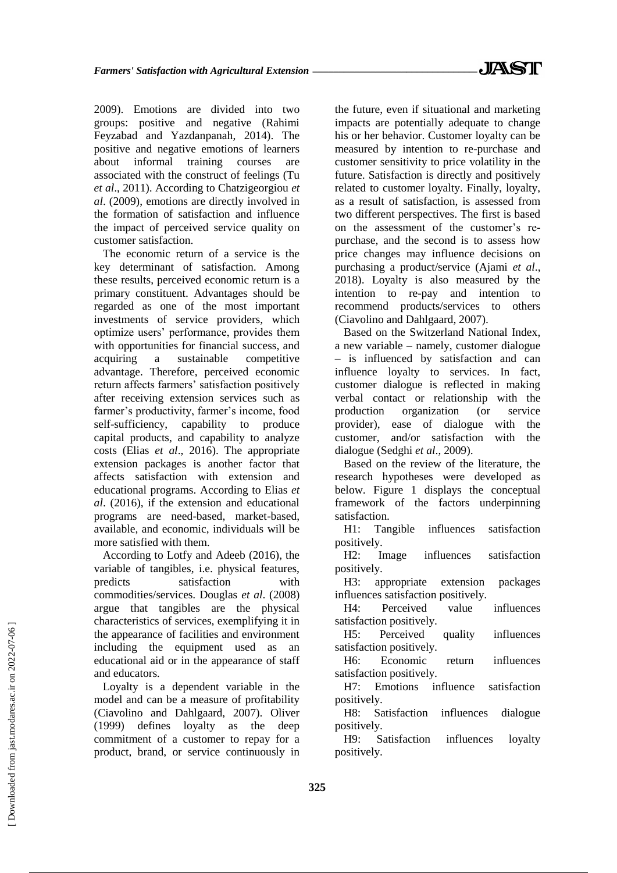2009). Emotions are divided into two groups: positive and negative (Rahimi Feyzabad and Yazdanpanah, 2014). The positive and negative emotions of learners about informal training courses are associated with the construct of feelings (Tu *et al*., 2011). According to Chatzigeorgiou *et al*. (2009), emotions are directly involved in the formation of satisfaction and influence the impact of perceived service quality on customer satisfaction.

The economic return of a service is the key determinant of satisfaction. Among these results, perceived economic return is a primary constituent. Advantages should be regarded as one of the most important investments of service providers, which optimize users' performance, provides them with opportunities for financial success, and acquiring a sustainable competitive advantage. Therefore, perceived economic return affects farmers' satisfaction positively after receiving extension services such as farmer's productivity, farmer's income, food self-sufficiency, capability to produce capital products, and capability to analyze costs (Elias *et al*., 2016). The appropriate extension packages is another factor that affects satisfaction with extension and educational programs. According to Elias *et al*. (2016), if the extension and educational programs are need-based, market-based, available, and economic, individuals will be more satisfied with them.

According to Lotfy and Adeeb (2016), the variable of tangibles, i.e. physical features, predicts satisfaction with commodities/services. Douglas *et al*. (2008) argue that tangibles are the physical characteristics of services, exemplifying it in the appearance of facilities and environment including the equipment used as an educational aid or in the appearance of staff and educators.

Loyalty is a dependent variable in the model and can be a measure of profitability (Ciavolino and Dahlgaard, 2007). Oliver (1999) defines loyalty as the deep commitment of a customer to repay for a product, brand, or service continuously in the future, even if situational and marketing impacts are potentially adequate to change his or her behavior. Customer loyalty can be measured by intention to re-purchase and customer sensitivity to price volatility in the future. Satisfaction is directly and positively related to customer loyalty. Finally, loyalty, as a result of satisfaction, is assessed from two different perspectives. The first is based on the assessment of the customer's repurchase, and the second is to assess how price changes may influence decisions on purchasing a product/service (Ajami *et al*., 2018). Loyalty is also measured by the intention to re-pay and intention to recommend products/services to others (Ciavolino and Dahlgaard, 2007).

Based on the Switzerland National Index, a new variable – namely, customer dialogue – is influenced by satisfaction and can influence loyalty to services. In fact, customer dialogue is reflected in making verbal contact or relationship with the production organization (or service provider), ease of dialogue with the customer, and/or satisfaction with the dialogue (Sedghi *et al*., 2009).

Based on the review of the literature, the research hypotheses were developed as below. Figure 1 displays the conceptual framework of the factors underpinning satisfaction.

H1: Tangible influences satisfaction positively.

H2: Image influences satisfaction positively.

H3: appropriate extension packages influences satisfaction positively.

H4: Perceived value influences satisfaction positively.

H5: Perceived quality influences satisfaction positively.

H6: Economic return influences satisfaction positively.

H7: Emotions influence satisfaction positively.

H8: Satisfaction influences dialogue positively.

H9: Satisfaction influences loyalty positively.

 [\[ Downloaded from jast.modares.ac.ir on 2](https://jast.modares.ac.ir/article-23-41193-en.html)022-07-06 ] Downloaded from jast.modares.ac.ir on 2022-07-06]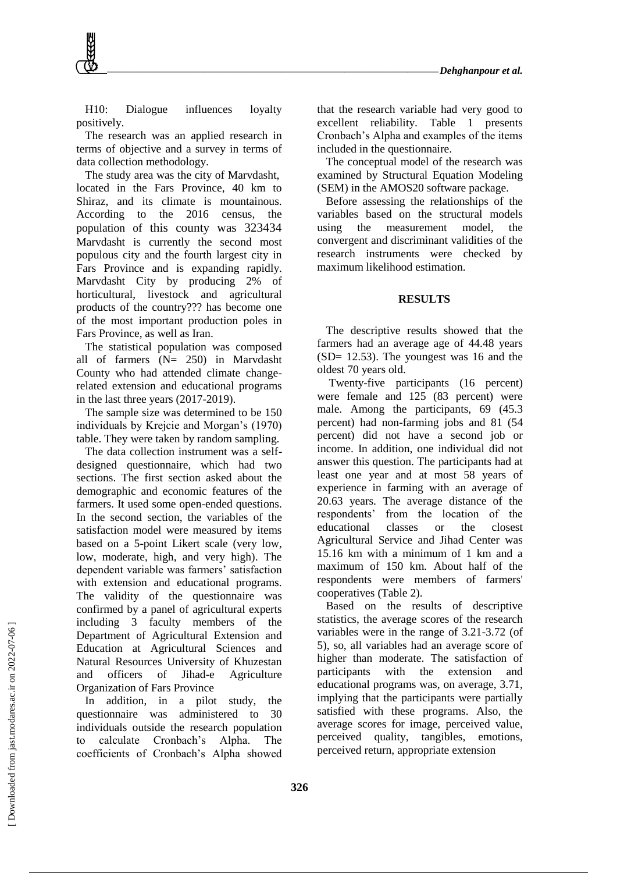H10: Dialogue influences loyalty positively.

The research was an applied research in terms of objective and a survey in terms of data collection methodology.

The study area was the city of Marvdasht, located in the Fars Province, 40 km to Shiraz, and its climate is mountainous. According to the 2016 census, the population of this county was 323434 Marvdasht is currently the second most populous city and the fourth largest city in Fars Province and is expanding rapidly. Marvdasht City by producing 2% of horticultural, livestock and agricultural products of the country??? has become one of the most important production poles in Fars Province, as well as Iran.

The statistical population was composed all of farmers (N= 250) in Marvdasht County who had attended climate changerelated extension and educational programs in the last three years (2017-2019).

The sample size was determined to be 150 individuals by Krejcie and Morgan's (1970) table. They were taken by random sampling.

The data collection instrument was a selfdesigned questionnaire, which had two sections. The first section asked about the demographic and economic features of the farmers. It used some open-ended questions. In the second section, the variables of the satisfaction model were measured by items based on a 5-point Likert scale (very low, low, moderate, high, and very high). The dependent variable was farmers' satisfaction with extension and educational programs. The validity of the questionnaire was confirmed by a panel of agricultural experts including 3 faculty members of the Department of Agricultural Extension and Education at Agricultural Sciences and Natural Resources University of Khuzestan and officers of Jihad-e Agriculture Organization of Fars Province

In addition, in a pilot study, the questionnaire was administered to 30 individuals outside the research population to calculate Cronbach's Alpha. The coefficients of Cronbach's Alpha showed that the research variable had very good to excellent reliability. Table 1 presents Cronbach's Alpha and examples of the items included in the questionnaire.

The conceptual model of the research was examined by Structural Equation Modeling (SEM) in the AMOS20 software package.

Before assessing the relationships of the variables based on the structural models using the measurement model, the convergent and discriminant validities of the research instruments were checked by maximum likelihood estimation.

#### **RESULTS**

The descriptive results showed that the farmers had an average age of 44.48 years (SD= 12.53). The youngest was 16 and the oldest 70 years old.

Twenty-five participants (16 percent) were female and 125 (83 percent) were male. Among the participants, 69 (45.3 percent) had non-farming jobs and 81 (54 percent) did not have a second job or income. In addition, one individual did not answer this question. The participants had at least one year and at most 58 years of experience in farming with an average of 20.63 years. The average distance of the respondents' from the location of the educational classes or the closest Agricultural Service and Jihad Center was 15.16 km with a minimum of 1 km and a maximum of 150 km. About half of the respondents were members of farmers' cooperatives (Table 2).

Based on the results of descriptive statistics, the average scores of the research variables were in the range of 3.21-3.72 (of 5), so, all variables had an average score of higher than moderate. The satisfaction of participants with the extension and educational programs was, on average, 3.71, implying that the participants were partially satisfied with these programs. Also, the average scores for image, perceived value, perceived quality, tangibles, emotions, perceived return, appropriate extension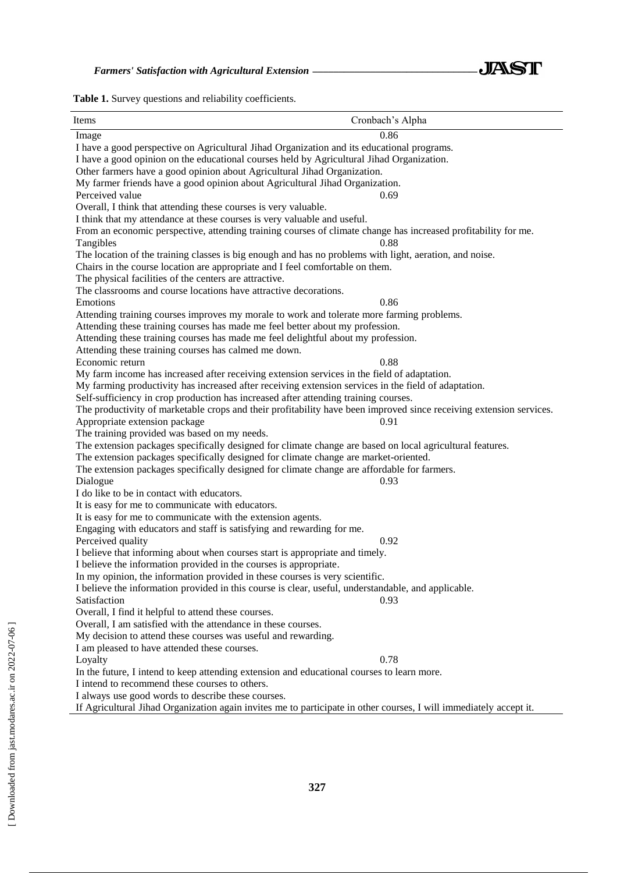

**Table 1.** Survey questions and reliability coefficients.

| Items                                                                                                               | Cronbach's Alpha |
|---------------------------------------------------------------------------------------------------------------------|------------------|
| Image                                                                                                               | 0.86             |
| I have a good perspective on Agricultural Jihad Organization and its educational programs.                          |                  |
| I have a good opinion on the educational courses held by Agricultural Jihad Organization.                           |                  |
| Other farmers have a good opinion about Agricultural Jihad Organization.                                            |                  |
| My farmer friends have a good opinion about Agricultural Jihad Organization.                                        |                  |
| Perceived value                                                                                                     | 0.69             |
| Overall, I think that attending these courses is very valuable.                                                     |                  |
| I think that my attendance at these courses is very valuable and useful.                                            |                  |
| From an economic perspective, attending training courses of climate change has increased profitability for me.      |                  |
| Tangibles                                                                                                           | 0.88             |
| The location of the training classes is big enough and has no problems with light, aeration, and noise.             |                  |
| Chairs in the course location are appropriate and I feel comfortable on them.                                       |                  |
| The physical facilities of the centers are attractive.                                                              |                  |
| The classrooms and course locations have attractive decorations.                                                    |                  |
| Emotions                                                                                                            | 0.86             |
| Attending training courses improves my morale to work and tolerate more farming problems.                           |                  |
| Attending these training courses has made me feel better about my profession.                                       |                  |
| Attending these training courses has made me feel delightful about my profession.                                   |                  |
| Attending these training courses has calmed me down.                                                                |                  |
| Economic return                                                                                                     | 0.88             |
| My farm income has increased after receiving extension services in the field of adaptation.                         |                  |
| My farming productivity has increased after receiving extension services in the field of adaptation.                |                  |
| Self-sufficiency in crop production has increased after attending training courses.                                 |                  |
| The productivity of marketable crops and their profitability have been improved since receiving extension services. |                  |
| Appropriate extension package                                                                                       | 0.91             |
| The training provided was based on my needs.                                                                        |                  |
| The extension packages specifically designed for climate change are based on local agricultural features.           |                  |
| The extension packages specifically designed for climate change are market-oriented.                                |                  |
| The extension packages specifically designed for climate change are affordable for farmers.                         |                  |
| Dialogue                                                                                                            | 0.93             |
| I do like to be in contact with educators.                                                                          |                  |
| It is easy for me to communicate with educators.                                                                    |                  |
| It is easy for me to communicate with the extension agents.                                                         |                  |
| Engaging with educators and staff is satisfying and rewarding for me.                                               |                  |
| Perceived quality                                                                                                   | 0.92             |
| I believe that informing about when courses start is appropriate and timely.                                        |                  |
| I believe the information provided in the courses is appropriate.                                                   |                  |
| In my opinion, the information provided in these courses is very scientific.                                        |                  |
| I believe the information provided in this course is clear, useful, understandable, and applicable.                 |                  |
| Satisfaction                                                                                                        | 0.93             |
| Overall, I find it helpful to attend these courses.                                                                 |                  |
| Overall, I am satisfied with the attendance in these courses.                                                       |                  |
| My decision to attend these courses was useful and rewarding.                                                       |                  |
| I am pleased to have attended these courses.                                                                        |                  |
| Loyalty                                                                                                             | 0.78             |
| In the future, I intend to keep attending extension and educational courses to learn more.                          |                  |
| I intend to recommend these courses to others.                                                                      |                  |
| I always use good words to describe these courses.                                                                  |                  |

If Agricultural Jihad Organization again invites me to participate in other courses, I will immediately accept it.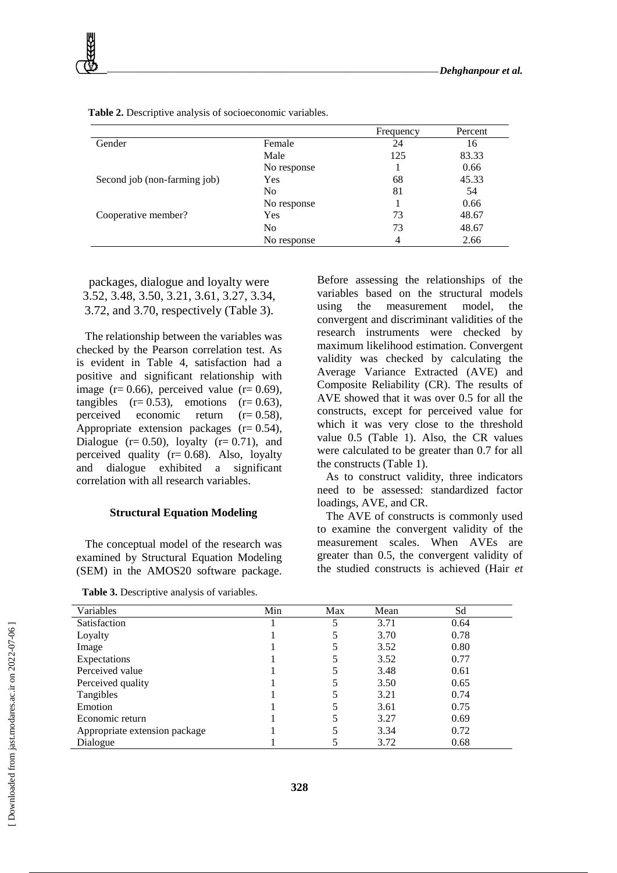|                              |                | Frequency | Percent |
|------------------------------|----------------|-----------|---------|
| Gender                       | Female         | 24        | 16      |
|                              | Male           | 125       | 83.33   |
|                              | No response    |           | 0.66    |
| Second job (non-farming job) | Yes            | 68        | 45.33   |
|                              | N <sub>0</sub> | 81        | 54      |
|                              | No response    |           | 0.66    |
| Cooperative member?          | Yes            | 73        | 48.67   |
|                              | N <sub>0</sub> | 73        | 48.67   |
|                              | No response    | 4         | 2.66    |

**Table 2.** Descriptive analysis of socioeconomic variables.

packages, dialogue and loyalty were 3.52, 3.48, 3.50, 3.21, 3.61, 3.27, 3.34, 3.72, and 3.70, respectively (Table 3).

The relationship between the variables was checked by the Pearson correlation test. As is evident in Table 4, satisfaction had a positive and significant relationship with image ( $r= 0.66$ ), perceived value ( $r= 0.69$ ), tangibles  $(r= 0.53)$ , emotions  $(r= 0.63)$ , perceived economic return  $(r= 0.58)$ , Appropriate extension packages  $(r= 0.54)$ , Dialogue  $(r= 0.50)$ , loyalty  $(r= 0.71)$ , and perceived quality  $(r= 0.68)$ . Also, loyalty and dialogue exhibited a significant correlation with all research variables.

#### **Structural Equation Modeling**

The conceptual model of the research was examined by Structural Equation Modeling (SEM) in the AMOS20 software package.

**Table 3.** Descriptive analysis of variables.

Before assessing the relationships of the variables based on the structural models using the measurement model, the convergent and discriminant validities of the research instruments were checked by maximum likelihood estimation. Convergent validity was checked by calculating the Average Variance Extracted (AVE) and Composite Reliability (CR). The results of AVE showed that it was over 0.5 for all the constructs, except for perceived value for which it was very close to the threshold value 0.5 (Table 1). Also, the CR values were calculated to be greater than 0.7 for all the constructs (Table 1).

As to construct validity, three indicators need to be assessed: standardized factor loadings, AVE, and CR.

The AVE of constructs is commonly used to examine the convergent validity of the measurement scales. When AVEs are greater than 0.5, the convergent validity of the studied constructs is achieved (Hair *et* 

| Variables                     | Min | Max | Mean | Sd   |
|-------------------------------|-----|-----|------|------|
| Satisfaction                  |     |     | 3.71 | 0.64 |
| Loyalty                       |     |     | 3.70 | 0.78 |
| Image                         |     |     | 3.52 | 0.80 |
| Expectations                  |     |     | 3.52 | 0.77 |
| Perceived value               |     |     | 3.48 | 0.61 |
| Perceived quality             |     |     | 3.50 | 0.65 |
| Tangibles                     |     |     | 3.21 | 0.74 |
| Emotion                       |     |     | 3.61 | 0.75 |
| Economic return               |     |     | 3.27 | 0.69 |
| Appropriate extension package |     |     | 3.34 | 0.72 |
| Dialogue                      |     |     | 3.72 | 0.68 |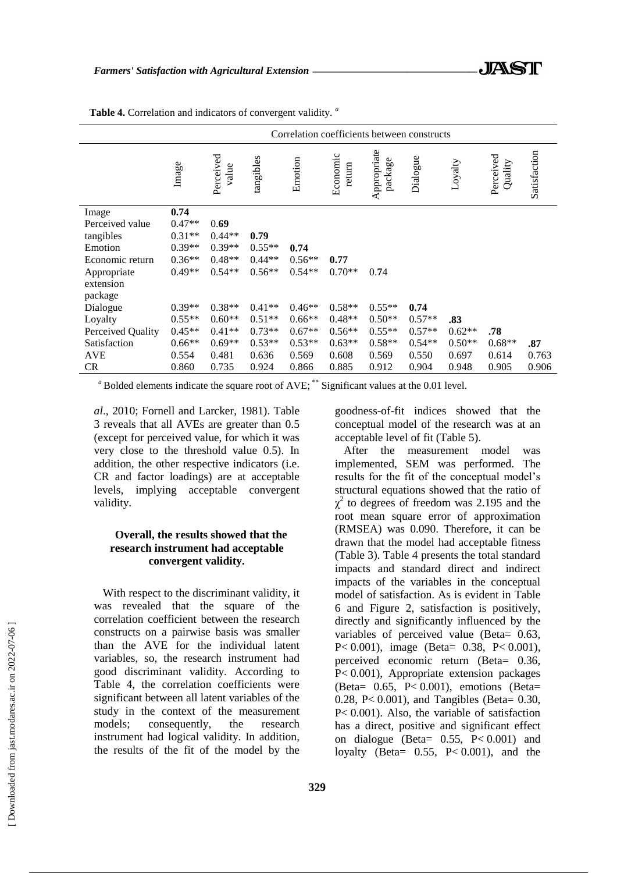|                          | Correlation coefficients between constructs |                    |           |          |                    |                        |                  |          |                      |              |
|--------------------------|---------------------------------------------|--------------------|-----------|----------|--------------------|------------------------|------------------|----------|----------------------|--------------|
|                          | Image                                       | Perceived<br>value | tangibles | Emotion  | Economic<br>return | Appropriate<br>package | Dialogue         | Loyalty  | Perceived<br>Quality | Satisfaction |
| Image                    | 0.74                                        |                    |           |          |                    |                        |                  |          |                      |              |
| Perceived value          | $0.47**$                                    | 0.69               |           |          |                    |                        |                  |          |                      |              |
| tangibles                | $0.31**$                                    | $0.44**$           | 0.79      |          |                    |                        |                  |          |                      |              |
| Emotion                  | $0.39**$                                    | $0.39**$           | $0.55**$  | 0.74     |                    |                        |                  |          |                      |              |
| Economic return          | $0.36**$                                    | $0.48**$           | $0.44**$  | $0.56**$ | 0.77               |                        |                  |          |                      |              |
| Appropriate<br>extension | $0.49**$                                    | $0.54**$           | $0.56**$  | $0.54**$ | $0.70**$           | 0.74                   |                  |          |                      |              |
| package                  | $0.39**$                                    | $0.38**$           | $0.41**$  | $0.46**$ | $0.58**$           | $0.55**$               |                  |          |                      |              |
| Dialogue                 |                                             | $0.60**$           | $0.51**$  | $0.66**$ | $0.48**$           | $0.50**$               | 0.74<br>$0.57**$ | .83      |                      |              |
| Loyalty                  | $0.55**$                                    |                    |           |          |                    |                        |                  |          |                      |              |
| Perceived Quality        | $0.45**$                                    | $0.41**$           | $0.73**$  | $0.67**$ | $0.56**$           | $0.55**$               | $0.57**$         | $0.62**$ | .78                  |              |
| Satisfaction             | $0.66**$                                    | $0.69**$           | $0.53**$  | $0.53**$ | $0.63**$           | $0.58**$               | $0.54**$         | $0.50**$ | $0.68**$             | .87          |
| <b>AVE</b>               | 0.554                                       | 0.481              | 0.636     | 0.569    | 0.608              | 0.569                  | 0.550            | 0.697    | 0.614                | 0.763        |
| <b>CR</b>                | 0.860                                       | 0.735              | 0.924     | 0.866    | 0.885              | 0.912                  | 0.904            | 0.948    | 0.905                | 0.906        |

**Table 4.** Correlation and indicators of convergent validity. *<sup>a</sup>*

<sup>*a*</sup> Bolded elements indicate the square root of AVE; \*\* Significant values at the 0.01 level.

*al*., 2010; Fornell and Larcker, 1981). Table 3 reveals that all AVEs are greater than 0.5 (except for perceived value, for which it was very close to the threshold value 0.5). In addition, the other respective indicators (i.e. CR and factor loadings) are at acceptable levels, implying acceptable convergent validity.

#### **Overall, the results showed that the research instrument had acceptable convergent validity.**

With respect to the discriminant validity, it was revealed that the square of the correlation coefficient between the research constructs on a pairwise basis was smaller than the AVE for the individual latent variables, so, the research instrument had good discriminant validity. According to Table 4, the correlation coefficients were significant between all latent variables of the study in the context of the measurement models; consequently, the research instrument had logical validity. In addition, the results of the fit of the model by the

goodness-of-fit indices showed that the conceptual model of the research was at an acceptable level of fit (Table 5).

After the measurement model was implemented, SEM was performed. The results for the fit of the conceptual model's structural equations showed that the ratio of  $\chi^2$  to degrees of freedom was 2.195 and the root mean square error of approximation (RMSEA) was 0.090. Therefore, it can be drawn that the model had acceptable fitness (Table 3). Table 4 presents the total standard impacts and standard direct and indirect impacts of the variables in the conceptual model of satisfaction. As is evident in Table 6 and Figure 2, satisfaction is positively, directly and significantly influenced by the variables of perceived value (Beta= 0.63, P< 0.001), image (Beta= 0.38, P< 0.001), perceived economic return (Beta= 0.36, P< 0.001), Appropriate extension packages (Beta= 0.65, P< 0.001), emotions (Beta= 0.28, P< 0.001), and Tangibles (Beta= 0.30, P< 0.001). Also, the variable of satisfaction has a direct, positive and significant effect on dialogue (Beta= 0.55, P< 0.001) and loyalty (Beta=  $0.55$ , P<  $0.001$ ), and the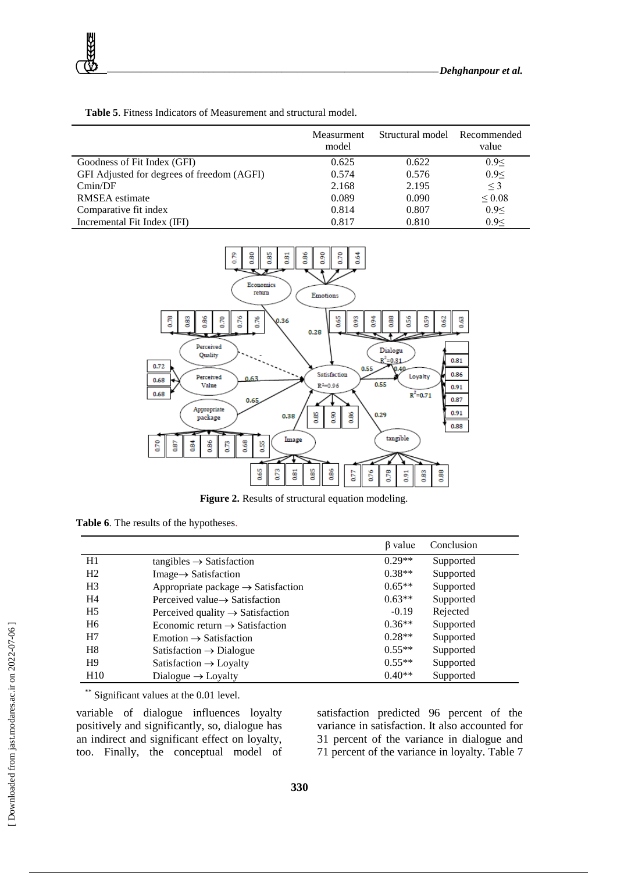|                                            | Measurment<br>model | Structural model Recommended | value       |
|--------------------------------------------|---------------------|------------------------------|-------------|
| Goodness of Fit Index (GFI)                | 0.625               | 0.622                        | 0.9<        |
| GFI Adjusted for degrees of freedom (AGFI) | 0.574               | 0.576                        | 0.9<        |
| Cmin/DF                                    | 2.168               | 2.195                        | $\leq$ 3    |
| RMSEA estimate                             | 0.089               | 0.090                        | ${}_{0.08}$ |
| Comparative fit index                      | 0.814               | 0.807                        | 0.9<        |
| Incremental Fit Index (IFI)                | 0.817               | 0.810                        | 0.9<        |

**Table 5**. Fitness Indicators of Measurement and structural model.



**Figure 2.** Results of structural equation modeling.

|  |  |  |  | Table 6. The results of the hypotheses. |
|--|--|--|--|-----------------------------------------|
|--|--|--|--|-----------------------------------------|

|                 |                                                | β value  | Conclusion |
|-----------------|------------------------------------------------|----------|------------|
| H1              | $tangibles \rightarrow Satisfactor$            | $0.29**$ | Supported  |
| H <sub>2</sub>  | $Image \rightarrow S$ atisfaction              | $0.38**$ | Supported  |
| H <sub>3</sub>  | Appropriate package $\rightarrow$ Satisfaction | $0.65**$ | Supported  |
| H4              | Perceived value $\rightarrow$ Satisfaction     | $0.63**$ | Supported  |
| H <sub>5</sub>  | Perceived quality $\rightarrow$ Satisfaction   | $-0.19$  | Rejected   |
| H6              | Economic return $\rightarrow$ Satisfaction     | $0.36**$ | Supported  |
| H7              | $Emotion \rightarrow Satisfactor$              | $0.28**$ | Supported  |
| H8              | Satisfaction $\rightarrow$ Dialogue            | $0.55**$ | Supported  |
| H9              | Satisfaction $\rightarrow$ Loyalty             | $0.55**$ | Supported  |
| H <sub>10</sub> | Dialogue $\rightarrow$ Loyalty                 | $0.40**$ | Supported  |

\*\* Significant values at the 0.01 level.

variable of dialogue influences loyalty positively and significantly, so, dialogue has an indirect and significant effect on loyalty, too. Finally, the conceptual model of satisfaction predicted 96 percent of the variance in satisfaction. It also accounted for 31 percent of the variance in dialogue and 71 percent of the variance in loyalty. Table 7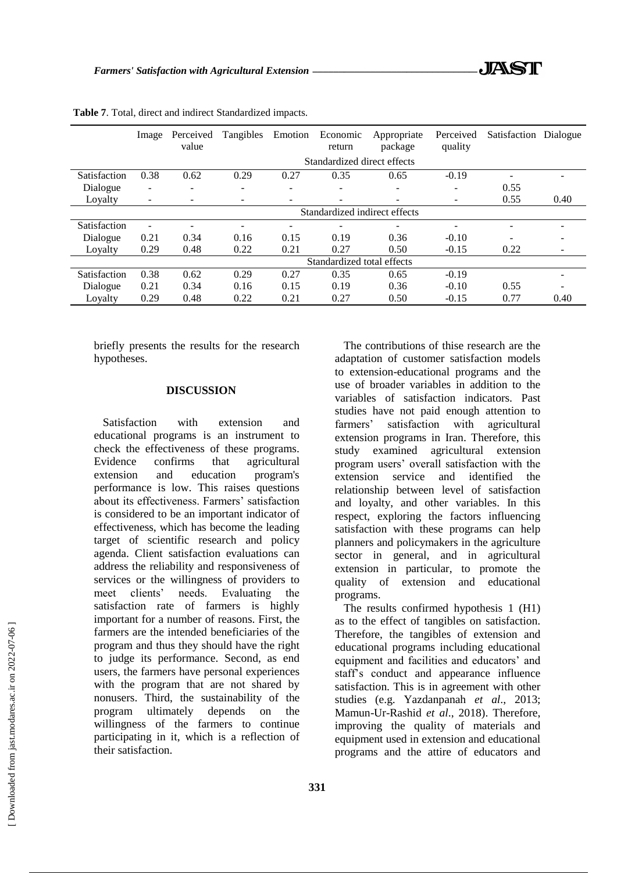|              | Image                    | Perceived<br>value            | Tangibles                | Emotion | Economic<br>return          | Appropriate<br>package   | Perceived<br>quality | Satisfaction | Dialogue |
|--------------|--------------------------|-------------------------------|--------------------------|---------|-----------------------------|--------------------------|----------------------|--------------|----------|
|              |                          |                               |                          |         | Standardized direct effects |                          |                      |              |          |
| Satisfaction | 0.38                     | 0.62                          | 0.29                     | 0.27    | 0.35                        | 0.65                     | $-0.19$              |              |          |
| Dialogue     | $\overline{\phantom{a}}$ | $\overline{\phantom{0}}$      | $\overline{\phantom{0}}$ | -       | $\blacksquare$              | $\overline{\phantom{a}}$ |                      | 0.55         |          |
| Loyalty      |                          |                               |                          |         | -                           | $\overline{\phantom{a}}$ |                      | 0.55         | 0.40     |
|              |                          | Standardized indirect effects |                          |         |                             |                          |                      |              |          |
| Satisfaction |                          |                               | $\overline{\phantom{0}}$ |         |                             | -                        |                      |              |          |
| Dialogue     | 0.21                     | 0.34                          | 0.16                     | 0.15    | 0.19                        | 0.36                     | $-0.10$              |              |          |
| Loyalty      | 0.29                     | 0.48                          | 0.22                     | 0.21    | 0.27                        | 0.50                     | $-0.15$              | 0.22         |          |
|              |                          |                               |                          |         | Standardized total effects  |                          |                      |              |          |
| Satisfaction | 0.38                     | 0.62                          | 0.29                     | 0.27    | 0.35                        | 0.65                     | $-0.19$              |              |          |
| Dialogue     | 0.21                     | 0.34                          | 0.16                     | 0.15    | 0.19                        | 0.36                     | $-0.10$              | 0.55         |          |
| Loyalty      | 0.29                     | 0.48                          | 0.22                     | 0.21    | 0.27                        | 0.50                     | $-0.15$              | 0.77         | 0.40     |

**Table 7**. Total, direct and indirect Standardized impacts.

briefly presents the results for the research hypotheses.

#### **DISCUSSION**

Satisfaction with extension and educational programs is an instrument to check the effectiveness of these programs. Evidence confirms that agricultural extension and education program's performance is low. This raises questions about its effectiveness. Farmers' satisfaction is considered to be an important indicator of effectiveness, which has become the leading target of scientific research and policy agenda. Client satisfaction evaluations can address the reliability and responsiveness of services or the willingness of providers to meet clients' needs. Evaluating the satisfaction rate of farmers is highly important for a number of reasons. First, the farmers are the intended beneficiaries of the program and thus they should have the right to judge its performance. Second, as end users, the farmers have personal experiences with the program that are not shared by nonusers. Third, the sustainability of the program ultimately depends on the willingness of the farmers to continue participating in it, which is a reflection of their satisfaction.

The contributions of thise research are the adaptation of customer satisfaction models to extension-educational programs and the use of broader variables in addition to the variables of satisfaction indicators. Past studies have not paid enough attention to farmers' satisfaction with agricultural extension programs in Iran. Therefore, this study examined agricultural extension program users' overall satisfaction with the extension service and identified the relationship between level of satisfaction and loyalty, and other variables. In this respect, exploring the factors influencing satisfaction with these programs can help planners and policymakers in the agriculture sector in general, and in agricultural extension in particular, to promote the quality of extension and educational programs.

The results confirmed hypothesis 1 (H1) as to the effect of tangibles on satisfaction. Therefore, the tangibles of extension and educational programs including educational equipment and facilities and educators' and staff's conduct and appearance influence satisfaction. This is in agreement with other studies (e.g. Yazdanpanah *et al*., 2013; Mamun-Ur-Rashid *et al*., 2018). Therefore, improving the quality of materials and equipment used in extension and educational programs and the attire of educators and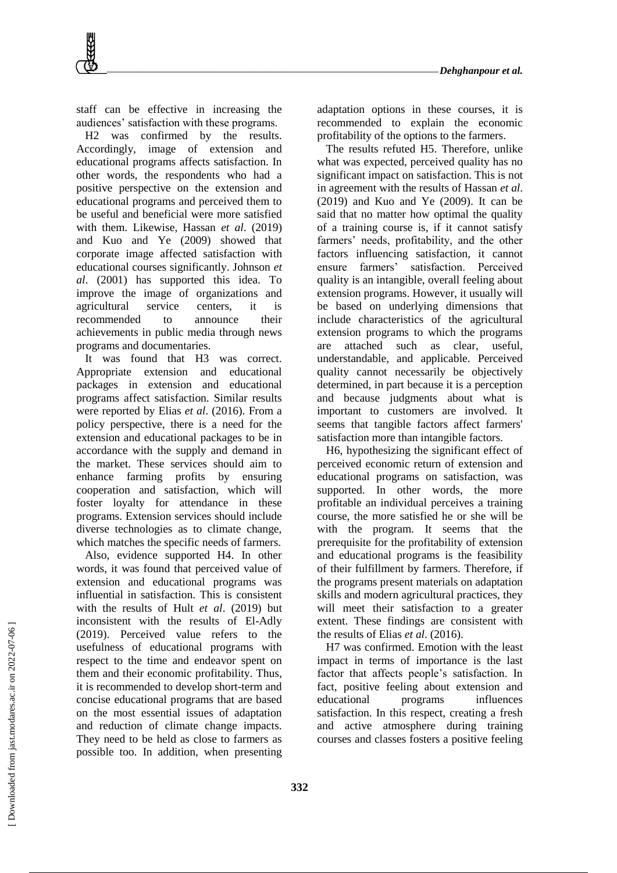staff can be effective in increasing the audiences' satisfaction with these programs.

H2 was confirmed by the results. Accordingly, image of extension and educational programs affects satisfaction. In other words, the respondents who had a positive perspective on the extension and educational programs and perceived them to be useful and beneficial were more satisfied with them. Likewise, Hassan *et al*. (2019) and Kuo and Ye (2009) showed that corporate image affected satisfaction with educational courses significantly. Johnson *et al*. (2001) has supported this idea. To improve the image of organizations and agricultural service centers, it is recommended to announce their achievements in public media through news programs and documentaries.

It was found that H3 was correct. Appropriate extension and educational packages in extension and educational programs affect satisfaction. Similar results were reported by Elias *et al*. (2016). From a policy perspective, there is a need for the extension and educational packages to be in accordance with the supply and demand in the market. These services should aim to enhance farming profits by ensuring cooperation and satisfaction, which will foster loyalty for attendance in these programs. Extension services should include diverse technologies as to climate change, which matches the specific needs of farmers.

Also, evidence supported H4. In other words, it was found that perceived value of extension and educational programs was influential in satisfaction. This is consistent with the results of Hult *et al*. (2019) but inconsistent with the results of El-Adly (2019). Perceived value refers to the usefulness of educational programs with respect to the time and endeavor spent on them and their economic profitability. Thus, it is recommended to develop short-term and concise educational programs that are based on the most essential issues of adaptation and reduction of climate change impacts. They need to be held as close to farmers as possible too. In addition, when presenting

adaptation options in these courses, it is recommended to explain the economic profitability of the options to the farmers.

The results refuted H5. Therefore, unlike what was expected, perceived quality has no significant impact on satisfaction. This is not in agreement with the results of Hassan *et al*. (2019) and Kuo and Ye (2009). It can be said that no matter how optimal the quality of a training course is, if it cannot satisfy farmers' needs, profitability, and the other factors influencing satisfaction, it cannot ensure farmers' satisfaction. Perceived quality is an intangible, overall feeling about extension programs. However, it usually will be based on underlying dimensions that include characteristics of the agricultural extension programs to which the programs are attached such as clear, useful, understandable, and applicable. Perceived quality cannot necessarily be objectively determined, in part because it is a perception and because judgments about what is important to customers are involved. It seems that tangible factors affect farmers' satisfaction more than intangible factors.

H6, hypothesizing the significant effect of perceived economic return of extension and educational programs on satisfaction, was supported. In other words, the more profitable an individual perceives a training course, the more satisfied he or she will be with the program. It seems that the prerequisite for the profitability of extension and educational programs is the feasibility of their fulfillment by farmers. Therefore, if the programs present materials on adaptation skills and modern agricultural practices, they will meet their satisfaction to a greater extent. These findings are consistent with the results of Elias *et al*. (2016).

H7 was confirmed. Emotion with the least impact in terms of importance is the last factor that affects people's satisfaction. In fact, positive feeling about extension and educational programs influences satisfaction. In this respect, creating a fresh and active atmosphere during training courses and classes fosters a positive feeling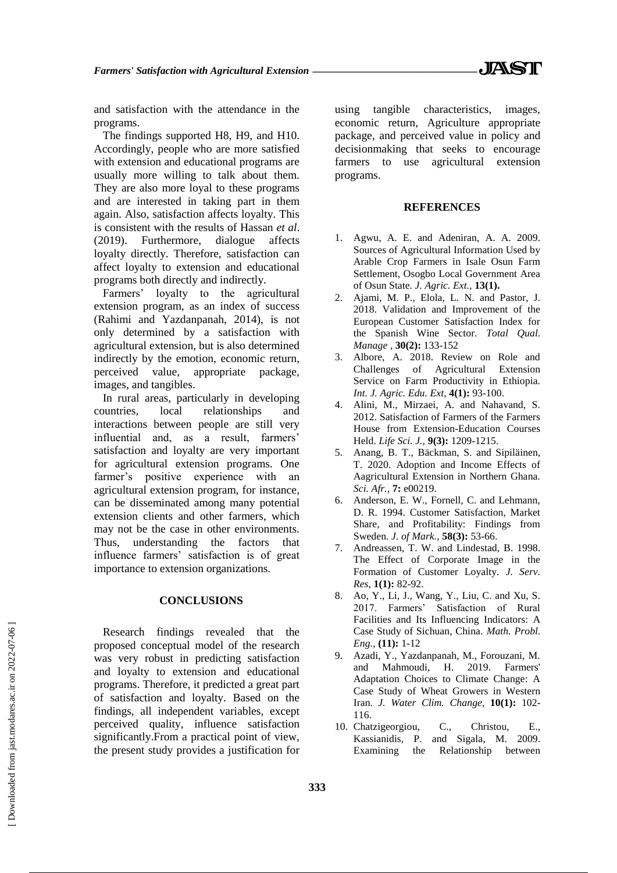and satisfaction with the attendance in the programs.

The findings supported H8, H9, and H10. Accordingly, people who are more satisfied with extension and educational programs are usually more willing to talk about them. They are also more loyal to these programs and are interested in taking part in them again. Also, satisfaction affects loyalty. This is consistent with the results of Hassan *et al*. (2019). Furthermore, dialogue affects loyalty directly. Therefore, satisfaction can affect loyalty to extension and educational programs both directly and indirectly.

Farmers' loyalty to the agricultural extension program, as an index of success (Rahimi and Yazdanpanah, 2014), is not only determined by a satisfaction with agricultural extension, but is also determined indirectly by the emotion, economic return, perceived value, appropriate package, images, and tangibles.

In rural areas, particularly in developing countries, local relationships and interactions between people are still very influential and, as a result, farmers' satisfaction and loyalty are very important for agricultural extension programs. One farmer's positive experience with an agricultural extension program, for instance, can be disseminated among many potential extension clients and other farmers, which may not be the case in other environments. Thus, understanding the factors that influence farmers' satisfaction is of great importance to extension organizations.

#### **CONCLUSIONS**

Research findings revealed that the proposed conceptual model of the research was very robust in predicting satisfaction and loyalty to extension and educational programs. Therefore, it predicted a great part of satisfaction and loyalty. Based on the findings, all independent variables, except perceived quality, influence satisfaction significantly.From a practical point of view, the present study provides a justification for using tangible characteristics, images, economic return, Agriculture appropriate package, and perceived value in policy and decisionmaking that seeks to encourage farmers to use agricultural extension programs.

#### **REFERENCES**

- 1. Agwu, A. E. and Adeniran, A. A. 2009. Sources of Agricultural Information Used by Arable Crop Farmers in Isale Osun Farm Settlement, Osogbo Local Government Area of Osun State*. J. Agric. Ext.,* **13(1).**
- 2. Ajami, M. P., Elola, L. N. and Pastor, J. 2018. Validation and Improvement of the European Customer Satisfaction Index for the Spanish Wine Sector. *Total Qual. Manage* , **30(2):** 133-152
- 3. Albore, A. 2018. Review on Role and Challenges of Agricultural Extension Service on Farm Productivity in Ethiopia. *Int. J. Agric. Edu. Ext,* **4(1):** 93-100.
- 4. Alini, M., Mirzaei, A. and Nahavand, S. 2012. Satisfaction of Farmers of the Farmers House from Extension-Education Courses Held. *Life Sci. J.,* **9(3):** 1209-1215.
- 5. Anang, B. T., Bäckman, S. and Sipiläinen, T. 2020. Adoption and Income Effects of Aagricultural Extension in Northern Ghana. *Sci. Afr.,* **7:** e00219.
- 6. Anderson, E. W., Fornell, C. and Lehmann, D. R. 1994. Customer Satisfaction, Market Share, and Profitability: Findings from Sweden. *J. of Mark.*, **58(3):** 53-66.
- 7. Andreassen, T. W. and Lindestad, B. 1998. The Effect of Corporate Image in the Formation of Customer Loyalty. *J. Serv. Res*, **1(1):** 82-92.
- 8. Ao, Y., Li, J., Wang, Y., Liu, C. and Xu, S. 2017. Farmers' Satisfaction of Rural Facilities and Its Influencing Indicators: A Case Study of Sichuan, China. *Math. Probl. Eng.*, **(11):** 1-12
- 9. Azadi, Y., Yazdanpanah, M., Forouzani, M. and Mahmoudi, H. 2019. Farmers' Adaptation Choices to Climate Change: A Case Study of Wheat Growers in Western Iran. *J. Water Clim. Change*, **10(1):** 102- 116.
- 10. Chatzigeorgiou, C., Christou, E., Kassianidis, P. and Sigala, M. 2009. Examining the Relationship between

 [\[ Downloaded from jast.modares.ac.ir on 2](https://jast.modares.ac.ir/article-23-41193-en.html)022-07-06 ] Downloaded from jast.modares.ac.ir on 2022-07-06]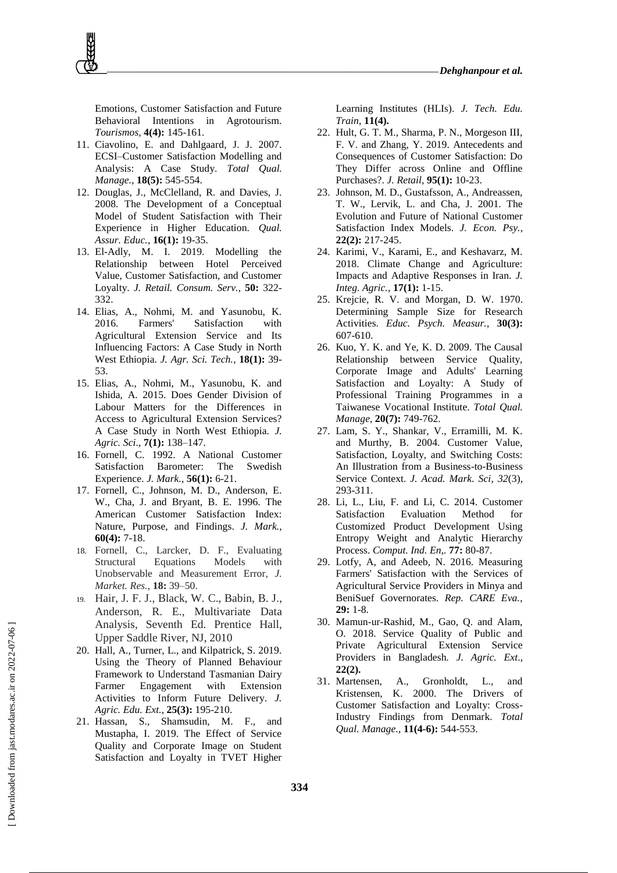Emotions, Customer Satisfaction and Future Behavioral Intentions in Agrotourism. *[Tourismos,](https://www.researchgate.net/journal/Tourismos-1790-8418)* **4(4):** 145-161.

- 11. Ciavolino, E. and Dahlgaard, J. J. 2007. ECSI–Customer Satisfaction Modelling and Analysis: A Case Study. *Total Qual. Manage.*, **18(5):** 545-554.
- 12. Douglas, J., McClelland, R. and Davies, J. 2008. The Development of a Conceptual Model of Student Satisfaction with Their Experience in Higher Education. *Qual. Assur. Educ.*, **16(1):** 19-35.
- 13. El-Adly, M. I. 2019. Modelling the Relationship between Hotel Perceived Value, Customer Satisfaction, and Customer Loyalty. *J. Retail. Consum. Serv.*, **50:** 322- 332.
- 14. Elias, A., Nohmi, M. and Yasunobu, K. 2016. Farmers' Satisfaction with Agricultural Extension Service and Its Influencing Factors: A Case Study in North West Ethiopia. *J. Agr. Sci. Tech.*, **18(1):** 39- 53.
- 15. Elias, A., Nohmi, M., Yasunobu, K. and Ishida, A. 2015. Does Gender Division of Labour Matters for the Differences in Access to Agricultural Extension Services? A Case Study in North West Ethiopia. *J. Agric. Sci*., **7(1):** 138–147.
- 16. Fornell, C. 1992. A National Customer Satisfaction Barometer: The Swedish Experience. *J. Mark.*, **56(1):** 6-21.
- 17. Fornell, C., Johnson, M. D., Anderson, E. W., Cha, J. and Bryant, B. E. 1996. The American Customer Satisfaction Index: Nature, Purpose, and Findings. *J. Mark.*, **60(4):** 7-18.
- 18. Fornell, C., Larcker, D. F., Evaluating Structural Equations Models with Unobservable and Measurement Error, *J. Market. Res.*, **18:** 39–50.
- 19. Hair, J. F. J., Black, W. C., Babin, B. J., Anderson, R. E., Multivariate Data Analysis, Seventh Ed. Prentice Hall, Upper Saddle River, NJ, 2010
- 20. Hall, A., Turner, L., and Kilpatrick, S. 2019. Using the Theory of Planned Behaviour Framework to Understand Tasmanian Dairy Farmer Engagement with Extension Activities to Inform Future Delivery. *J. Agric. Edu. Ext.*, **25(3):** 195-210.
- 21. Hassan, S., Shamsudin, M. F., and Mustapha, I. 2019. The Effect of Service Quality and Corporate Image on Student Satisfaction and Loyalty in TVET Higher

Learning Institutes (HLIs). *J. Tech. Edu. Train*, **11(4).**

- 22. Hult, G. T. M., Sharma, P. N., Morgeson III, F. V. and Zhang, Y. 2019. Antecedents and Consequences of Customer Satisfaction: Do They Differ across Online and Offline Purchases?. *J. Retail,* **95(1):** 10-23.
- 23. Johnson, M. D., Gustafsson, A., Andreassen, T. W., Lervik, L. and Cha, J. 2001. The Evolution and Future of National Customer Satisfaction Index Models. *J. Econ. Psy.*, **22(2):** 217-245.
- 24. Karimi, V., Karami, E., and Keshavarz, M. 2018. Climate Change and Agriculture: Impacts and Adaptive Responses in Iran. *J. Integ. Agric.*, **17(1):** 1-15.
- 25. Krejcie, R. V. and Morgan, D. W. 1970. Determining Sample Size for Research Activities. *Educ. Psych. Measur.*, **30(3):** 607-610.
- 26. Kuo, Y. K. and Ye, K. D. 2009. The Causal Relationship between Service Quality, Corporate Image and Adults' Learning Satisfaction and Loyalty: A Study of Professional Training Programmes in a Taiwanese Vocational Institute. *Total Qual. Manage*, **20(7):** 749-762.
- 27. Lam, S. Y., Shankar, V., Erramilli, M. K. and Murthy, B. 2004. Customer Value, Satisfaction, Loyalty, and Switching Costs: An Illustration from a Business-to-Business Service Context. *J. Acad. Mark. Sci*, *32*(3), 293-311.
- 28. Li, L., Liu, F. and Li, C. 2014. Customer Satisfaction Evaluation Method for Customized Product Development Using Entropy Weight and Analytic Hierarchy Process. *Comput. Ind. En,.* **77:** 80-87.
- 29. Lotfy, A, and Adeeb, N. 2016. Measuring Farmers' Satisfaction with the Services of Agricultural Service Providers in Minya and BeniSuef Governorates. *Rep. CARE Eva.*, **29:** 1-8.
- 30. Mamun-ur-Rashid, M., Gao, Q. and Alam, O. 2018. Service Quality of Public and Private Agricultural Extension Service Providers in Bangladesh. *J. Agric. Ext*., **22(2).**
- 31. Martensen, A., Gronholdt, L., and Kristensen, K. 2000. The Drivers of Customer Satisfaction and Loyalty: Cross-Industry Findings from Denmark. *Total Qual. Manage.*, **11(4-6):** 544-553.

 [\[ Downloaded from jast.modares.ac.ir on 2](https://jast.modares.ac.ir/article-23-41193-en.html)022-07-06 ] Downloaded from jast.modares.ac.ir on 2022-07-06]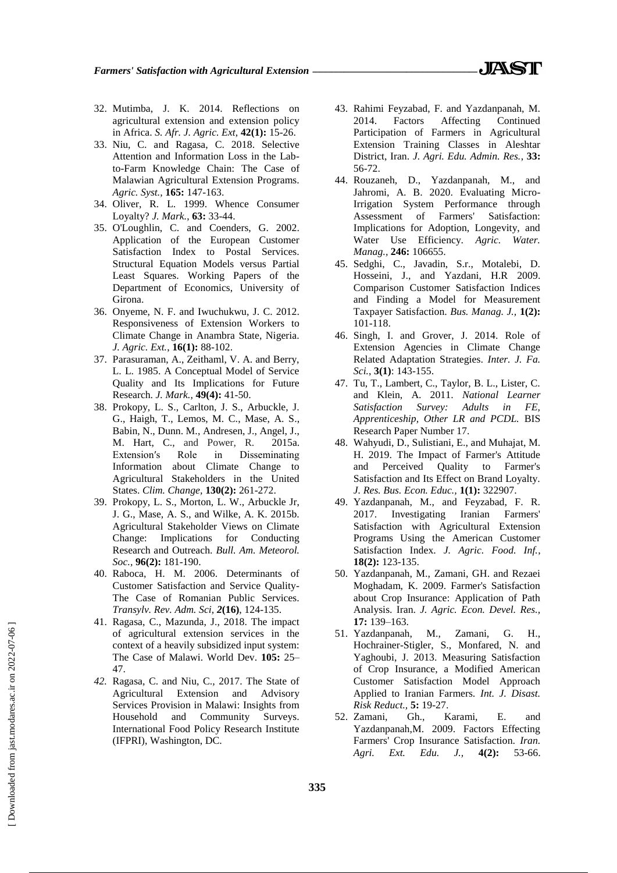- 32. Mutimba, J. K. 2014. Reflections on agricultural extension and extension policy in Africa. *S. Afr. J. Agric. Ext,* **42(1):** 15-26.
- 33. Niu, C. and Ragasa, C. 2018. Selective Attention and Information Loss in the Labto-Farm Knowledge Chain: The Case of Malawian Agricultural Extension Programs. *Agric. Syst.,* **165:** 147-163.
- 34. Oliver, R. L. 1999. Whence Consumer Loyalty? *J. Mark.*, **63:** 33-44.
- 35. O'Loughlin, C. and Coenders, G. 2002. Application of the European Customer Satisfaction Index to Postal Services. Structural Equation Models versus Partial Least Squares. Working Papers of the Department of Economics, University of Girona.
- 36. Onyeme, N. F. and Iwuchukwu, J. C. 2012. Responsiveness of Extension Workers to Climate Change in Anambra State, Nigeria. *J. Agric. Ext.*, **16(1):** 88-102.
- 37. Parasuraman, A., Zeithaml, V. A. and Berry, L. L. 1985. A Conceptual Model of Service Quality and Its Implications for Future Research. *J. Mark.*, **49(4):** 41-50.
- 38. Prokopy, L. S., Carlton, J. S., Arbuckle, J. G., Haigh, T., Lemos, M. C., Mase, A. S., Babin, N., Dunn. M., Andresen, J., Angel, J., M. Hart, C., and Power, R. 2015a. Extension′s Role in Disseminating Information about Climate Change to Agricultural Stakeholders in the United States. *Clim. Change,* **130(2):** 261-272.
- 39. Prokopy, L. S., Morton, L. W., Arbuckle Jr, J. G., Mase, A. S., and Wilke, A. K. 2015b. Agricultural Stakeholder Views on Climate Change: Implications for Conducting Research and Outreach. *Bull. Am. Meteorol. Soc.,* **96(2):** 181-190.
- 40. Raboca, H. M. 2006. Determinants of Customer Satisfaction and Service Quality-The Case of Romanian Public Services. *Transylv. Rev. Adm. Sci, 2***(16)**, 124-135.
- 41. Ragasa, C., Mazunda, J., 2018. The impact of agricultural extension services in the context of a heavily subsidized input system: The Case of Malawi. World Dev. **105:** 25– 47.
- *42.* Ragasa, C. and Niu, C., 2017. The State of Agricultural Extension and Advisory Services Provision in Malawi: Insights from Household and Community Surveys. International Food Policy Research Institute (IFPRI), Washington, DC.
- 43. Rahimi Feyzabad, F. and Yazdanpanah, M. 2014. Factors Affecting Continued Participation of Farmers in Agricultural Extension Training Classes in Aleshtar District, Iran. *J. Agri. Edu. Admin. Res.*, **33:** 56-72.
- 44. Rouzaneh, D., Yazdanpanah, M., and Jahromi, A. B. 2020. Evaluating Micro-Irrigation System Performance through Assessment of Farmers' Satisfaction: Implications for Adoption, Longevity, and Water Use Efficiency. *Agric. Water. Manag.,* **246:** 106655.
- 45. Sedghi, C., Javadin, S.r., Motalebi, D. Hosseini, J., and Yazdani, H.R 2009. Comparison Customer Satisfaction Indices and Finding a Model for Measurement Taxpayer Satisfaction. *Bus. Manag. J.,* **1(2):** 101-118.
- 46. Singh, I. and Grover, J. 2014. Role of Extension Agencies in Climate Change Related Adaptation Strategies. *Inter. J. Fa. Sci.*, **3(1)**: 143-155.
- 47. Tu, T., Lambert, C., Taylor, B. L., Lister, C. and Klein, A. 2011. *National Learner Satisfaction Survey: Adults in FE, Apprenticeship, Other LR and PCDL.* BIS Research Paper Number 17.
- 48. Wahyudi, D., Sulistiani, E., and Muhajat, M. H. 2019. The Impact of Farmer's Attitude and Perceived Quality to Farmer's Satisfaction and Its Effect on Brand Loyalty. *J. Res. Bus. Econ. Educ.,* **1(1):** 322907.
- 49. Yazdanpanah, M., and Feyzabad, F. R. 2017. Investigating Iranian Farmers' Satisfaction with Agricultural Extension Programs Using the American Customer Satisfaction Index. *J. Agric. Food. Inf.*, **18(2):** 123-135.
- 50. Yazdanpanah, M., Zamani, GH. and Rezaei Moghadam, K. 2009. Farmer's Satisfaction about Crop Insurance: Application of Path Analysis. Iran. *J. Agric. Econ. Devel. Res.,* **17:** 139–163.
- 51. Yazdanpanah, M., Zamani, G. H., Hochrainer-Stigler, S., Monfared, N. and Yaghoubi, J. 2013. Measuring Satisfaction of Crop Insurance, a Modified American Customer Satisfaction Model Approach Applied to Iranian Farmers. *Int. J. Disast. Risk Reduct.,* **5:** 19-27.
- 52. Zamani, Gh., Karami, E. and Yazdanpanah,M. 2009. Factors Effecting Farmers' Crop Insurance Satisfaction. *Iran. Agri. Ext. Edu. J.,* **4(2):** 53-66.